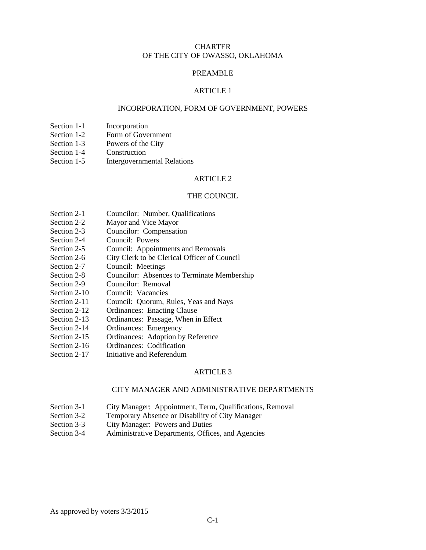# **CHARTER** OF THE CITY OF OWASSO, OKLAHOMA

# PREAMBLE

### ARTICLE 1

### INCORPORATION, FORM OF GOVERNMENT, POWERS

- Section 1-1 Incorporation<br>Section 1-2 Form of Gove
- Form of Government
- Section 1-3 Powers of the City
- Section 1-4 Construction
- Section 1-5 Intergovernmental Relations

#### ARTICLE 2

#### THE COUNCIL

- Section 2-1 Councilor: Number, Qualifications
- Section 2-2 Mayor and Vice Mayor
- Section 2-3 Councilor: Compensation
- Section 2-4 Council: Powers<br>Section 2-5 Council: Appoint
- Council: Appointments and Removals
- Section 2-6 City Clerk to be Clerical Officer of Council
- Section 2-7 Council: Meetings
- Section 2-8 Councilor: Absences to Terminate Membership
- Section 2-9 Councilor: Removal
- Section 2-10 Council: Vacancies
- Section 2-11 Council: Quorum, Rules, Yeas and Nays
- Section 2-12 Ordinances: Enacting Clause
- Section 2-13 Ordinances: Passage, When in Effect
- Section 2-14 Ordinances: Emergency<br>Section 2-15 Ordinances: Adoption by
- Ordinances: Adoption by Reference
- Section 2-16 Ordinances: Codification
- Section 2-17 Initiative and Referendum

#### ARTICLE<sub>3</sub>

## CITY MANAGER AND ADMINISTRATIVE DEPARTMENTS

- Section 3-1 City Manager: Appointment, Term, Qualifications, Removal
- Section 3-2 Temporary Absence or Disability of City Manager
- Section 3-3 City Manager: Powers and Duties
- Section 3-4 Administrative Departments, Offices, and Agencies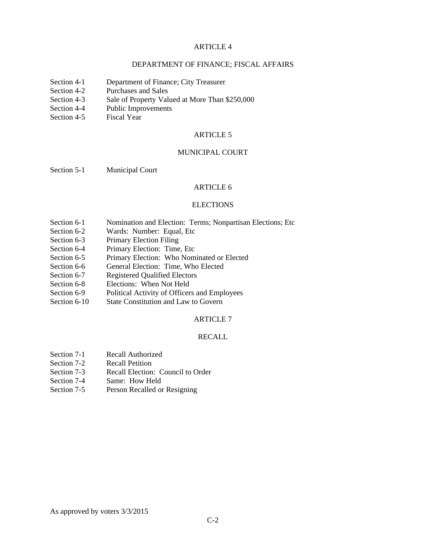# DEPARTMENT OF FINANCE; FISCAL AFFAIRS

- Section 4-1 Department of Finance; City Treasurer
- Section 4-2 Purchases and Sales
- Section 4-3 Sale of Property Valued at More Than \$250,000
- Section 4-4 Public Improvements
- Section 4-5 Fiscal Year

# ARTICLE 5

#### MUNICIPAL COURT

Section 5-1 Municipal Court

# ARTICLE 6

#### **ELECTIONS**

- Section 6-1 Nomination and Election: Terms; Nonpartisan Elections; Etc
- Section 6-2 Wards: Number: Equal, Etc
- Section 6-3 Primary Election Filing<br>Section 6-4 Primary Election: Time
- Primary Election: Time, Etc
- Section 6-5 Primary Election: Who Nominated or Elected
- Section 6-6 General Election: Time, Who Elected
- Section 6-7 Registered Qualified Electors
- Section 6-8 Elections: When Not Held
- Section 6-9 Political Activity of Officers and Employees
- Section 6-10 State Constitution and Law to Govern

#### ARTICLE 7

### RECALL

- Section 7-1 Recall Authorized<br>Section 7-2 Recall Petition
- **Recall Petition**
- Section 7-3 Recall Election: Council to Order
- Section 7-4 Same: How Held<br>Section 7-5 Person Recalled or
- Person Recalled or Resigning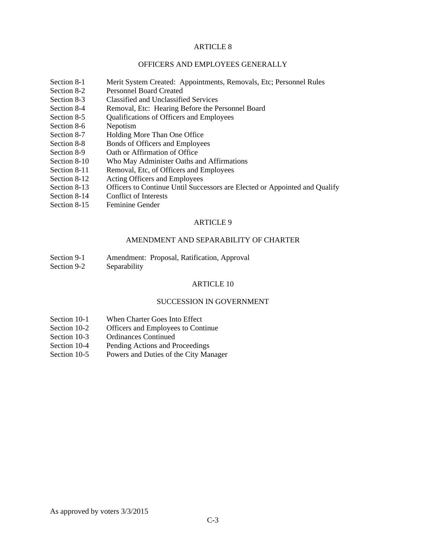# OFFICERS AND EMPLOYEES GENERALLY

- Section 8-1 Merit System Created: Appointments, Removals, Etc; Personnel Rules
- Section 8-2 Personnel Board Created
- Section 8-3 Classified and Unclassified Services
- Section 8-4 Removal, Etc: Hearing Before the Personnel Board
- Section 8-5 Qualifications of Officers and Employees
- Section 8-6 Nepotism<br>Section 8-7 Holding N
- Holding More Than One Office
- Section 8-8 Bonds of Officers and Employees
- Section 8-9 Oath or Affirmation of Office
- Section 8-10 Who May Administer Oaths and Affirmations
- Section 8-11 Removal, Etc, of Officers and Employees
- Section 8-12 Acting Officers and Employees
- Section 8-13 Officers to Continue Until Successors are Elected or Appointed and Qualify
- Section 8-14 Conflict of Interests<br>Section 8-15 Feminine Gender
- Feminine Gender

# ARTICLE 9

# AMENDMENT AND SEPARABILITY OF CHARTER

- Section 9-1 Amendment: Proposal, Ratification, Approval
- Section 9-2 Separability

#### ARTICLE 10

### SUCCESSION IN GOVERNMENT

- Section 10-1 When Charter Goes Into Effect
- Section 10-2 Officers and Employees to Continue<br>Section 10-3 Ordinances Continued
- Ordinances Continued
- Section 10-4 Pending Actions and Proceedings
- Section 10-5 Powers and Duties of the City Manager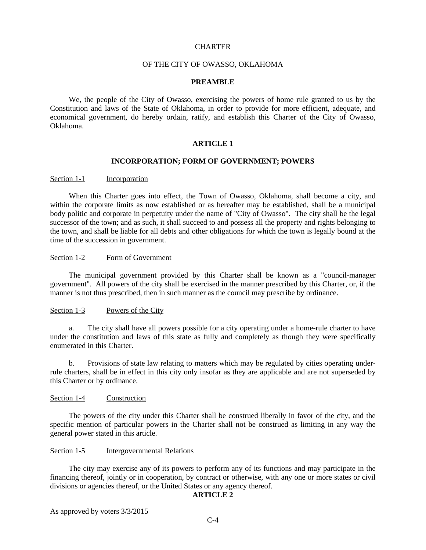## **CHARTER**

## OF THE CITY OF OWASSO, OKLAHOMA

### **PREAMBLE**

We, the people of the City of Owasso, exercising the powers of home rule granted to us by the Constitution and laws of the State of Oklahoma, in order to provide for more efficient, adequate, and economical government, do hereby ordain, ratify, and establish this Charter of the City of Owasso, Oklahoma.

### **ARTICLE 1**

# **INCORPORATION; FORM OF GOVERNMENT; POWERS**

#### Section 1-1 Incorporation

When this Charter goes into effect, the Town of Owasso, Oklahoma, shall become a city, and within the corporate limits as now established or as hereafter may be established, shall be a municipal body politic and corporate in perpetuity under the name of "City of Owasso". The city shall be the legal successor of the town; and as such, it shall succeed to and possess all the property and rights belonging to the town, and shall be liable for all debts and other obligations for which the town is legally bound at the time of the succession in government.

### Section 1-2 Form of Government

The municipal government provided by this Charter shall be known as a "council-manager government". All powers of the city shall be exercised in the manner prescribed by this Charter, or, if the manner is not thus prescribed, then in such manner as the council may prescribe by ordinance.

#### Section 1-3 Powers of the City

a. The city shall have all powers possible for a city operating under a home-rule charter to have under the constitution and laws of this state as fully and completely as though they were specifically enumerated in this Charter.

b. Provisions of state law relating to matters which may be regulated by cities operating underrule charters, shall be in effect in this city only insofar as they are applicable and are not superseded by this Charter or by ordinance.

#### Section 1-4 Construction

The powers of the city under this Charter shall be construed liberally in favor of the city, and the specific mention of particular powers in the Charter shall not be construed as limiting in any way the general power stated in this article.

### Section 1-5 Intergovernmental Relations

The city may exercise any of its powers to perform any of its functions and may participate in the financing thereof, jointly or in cooperation, by contract or otherwise, with any one or more states or civil divisions or agencies thereof, or the United States or any agency thereof.

# **ARTICLE 2**

As approved by voters 3/3/2015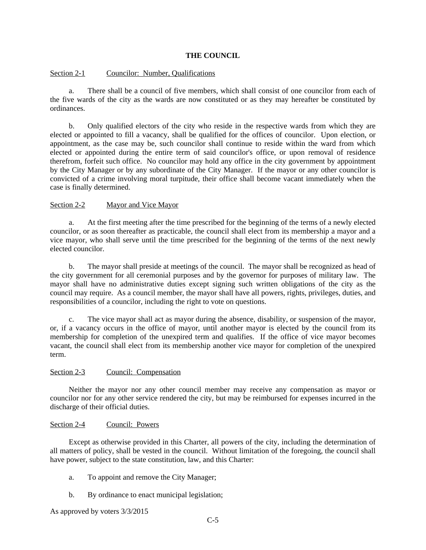# **THE COUNCIL**

### Section 2-1 Councilor: Number, Qualifications

a. There shall be a council of five members, which shall consist of one councilor from each of the five wards of the city as the wards are now constituted or as they may hereafter be constituted by ordinances.

b. Only qualified electors of the city who reside in the respective wards from which they are elected or appointed to fill a vacancy, shall be qualified for the offices of councilor. Upon election, or appointment, as the case may be, such councilor shall continue to reside within the ward from which elected or appointed during the entire term of said councilor's office, or upon removal of residence therefrom, forfeit such office. No councilor may hold any office in the city government by appointment by the City Manager or by any subordinate of the City Manager. If the mayor or any other councilor is convicted of a crime involving moral turpitude, their office shall become vacant immediately when the case is finally determined.

## Section 2-2 Mayor and Vice Mayor

a. At the first meeting after the time prescribed for the beginning of the terms of a newly elected councilor, or as soon thereafter as practicable, the council shall elect from its membership a mayor and a vice mayor, who shall serve until the time prescribed for the beginning of the terms of the next newly elected councilor.

b. The mayor shall preside at meetings of the council. The mayor shall be recognized as head of the city government for all ceremonial purposes and by the governor for purposes of military law. The mayor shall have no administrative duties except signing such written obligations of the city as the council may require. As a council member, the mayor shall have all powers, rights, privileges, duties, and responsibilities of a councilor, including the right to vote on questions.

c. The vice mayor shall act as mayor during the absence, disability, or suspension of the mayor, or, if a vacancy occurs in the office of mayor, until another mayor is elected by the council from its membership for completion of the unexpired term and qualifies. If the office of vice mayor becomes vacant, the council shall elect from its membership another vice mayor for completion of the unexpired term.

### Section 2-3 Council: Compensation

Neither the mayor nor any other council member may receive any compensation as mayor or councilor nor for any other service rendered the city, but may be reimbursed for expenses incurred in the discharge of their official duties.

## Section 2-4 Council: Powers

Except as otherwise provided in this Charter, all powers of the city, including the determination of all matters of policy, shall be vested in the council. Without limitation of the foregoing, the council shall have power, subject to the state constitution, law, and this Charter:

- a. To appoint and remove the City Manager;
- b. By ordinance to enact municipal legislation;

As approved by voters 3/3/2015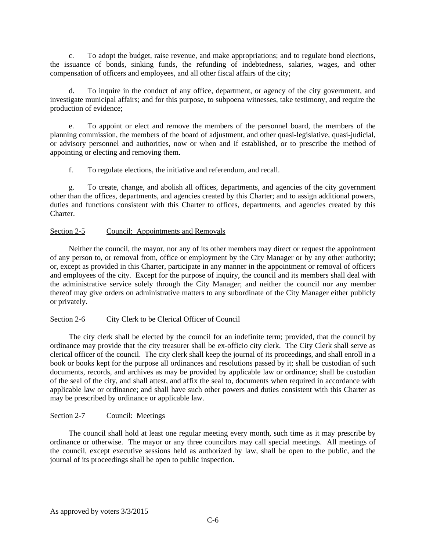c. To adopt the budget, raise revenue, and make appropriations; and to regulate bond elections, the issuance of bonds, sinking funds, the refunding of indebtedness, salaries, wages, and other compensation of officers and employees, and all other fiscal affairs of the city;

d. To inquire in the conduct of any office, department, or agency of the city government, and investigate municipal affairs; and for this purpose, to subpoena witnesses, take testimony, and require the production of evidence;

e. To appoint or elect and remove the members of the personnel board, the members of the planning commission, the members of the board of adjustment, and other quasi-legislative, quasi-judicial, or advisory personnel and authorities, now or when and if established, or to prescribe the method of appointing or electing and removing them.

f. To regulate elections, the initiative and referendum, and recall.

g. To create, change, and abolish all offices, departments, and agencies of the city government other than the offices, departments, and agencies created by this Charter; and to assign additional powers, duties and functions consistent with this Charter to offices, departments, and agencies created by this **Charter** 

## Section 2-5 Council: Appointments and Removals

Neither the council, the mayor, nor any of its other members may direct or request the appointment of any person to, or removal from, office or employment by the City Manager or by any other authority; or, except as provided in this Charter, participate in any manner in the appointment or removal of officers and employees of the city. Except for the purpose of inquiry, the council and its members shall deal with the administrative service solely through the City Manager; and neither the council nor any member thereof may give orders on administrative matters to any subordinate of the City Manager either publicly or privately.

### Section 2-6 City Clerk to be Clerical Officer of Council

The city clerk shall be elected by the council for an indefinite term; provided, that the council by ordinance may provide that the city treasurer shall be ex-officio city clerk. The City Clerk shall serve as clerical officer of the council. The city clerk shall keep the journal of its proceedings, and shall enroll in a book or books kept for the purpose all ordinances and resolutions passed by it; shall be custodian of such documents, records, and archives as may be provided by applicable law or ordinance; shall be custodian of the seal of the city, and shall attest, and affix the seal to, documents when required in accordance with applicable law or ordinance; and shall have such other powers and duties consistent with this Charter as may be prescribed by ordinance or applicable law.

### Section 2-7 Council: Meetings

The council shall hold at least one regular meeting every month, such time as it may prescribe by ordinance or otherwise. The mayor or any three councilors may call special meetings. All meetings of the council, except executive sessions held as authorized by law, shall be open to the public, and the journal of its proceedings shall be open to public inspection.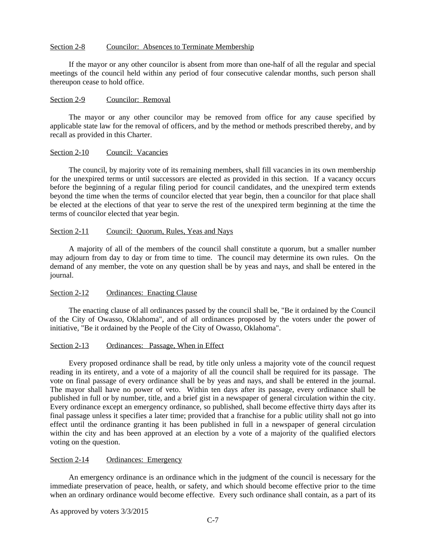# Section 2-8 Councilor: Absences to Terminate Membership

If the mayor or any other councilor is absent from more than one-half of all the regular and special meetings of the council held within any period of four consecutive calendar months, such person shall thereupon cease to hold office.

### Section 2-9 Councilor: Removal

The mayor or any other councilor may be removed from office for any cause specified by applicable state law for the removal of officers, and by the method or methods prescribed thereby, and by recall as provided in this Charter.

#### Section 2-10 Council: Vacancies

The council, by majority vote of its remaining members, shall fill vacancies in its own membership for the unexpired terms or until successors are elected as provided in this section. If a vacancy occurs before the beginning of a regular filing period for council candidates, and the unexpired term extends beyond the time when the terms of councilor elected that year begin, then a councilor for that place shall be elected at the elections of that year to serve the rest of the unexpired term beginning at the time the terms of councilor elected that year begin.

### Section 2-11 Council: Quorum, Rules, Yeas and Nays

A majority of all of the members of the council shall constitute a quorum, but a smaller number may adjourn from day to day or from time to time. The council may determine its own rules. On the demand of any member, the vote on any question shall be by yeas and nays, and shall be entered in the journal.

### Section 2-12 Ordinances: Enacting Clause

The enacting clause of all ordinances passed by the council shall be, "Be it ordained by the Council of the City of Owasso, Oklahoma", and of all ordinances proposed by the voters under the power of initiative, "Be it ordained by the People of the City of Owasso, Oklahoma".

# Section 2-13 Ordinances: Passage, When in Effect

Every proposed ordinance shall be read, by title only unless a majority vote of the council request reading in its entirety, and a vote of a majority of all the council shall be required for its passage. The vote on final passage of every ordinance shall be by yeas and nays, and shall be entered in the journal. The mayor shall have no power of veto. Within ten days after its passage, every ordinance shall be published in full or by number, title, and a brief gist in a newspaper of general circulation within the city. Every ordinance except an emergency ordinance, so published, shall become effective thirty days after its final passage unless it specifies a later time; provided that a franchise for a public utility shall not go into effect until the ordinance granting it has been published in full in a newspaper of general circulation within the city and has been approved at an election by a vote of a majority of the qualified electors voting on the question.

#### Section 2-14 Ordinances: Emergency

An emergency ordinance is an ordinance which in the judgment of the council is necessary for the immediate preservation of peace, health, or safety, and which should become effective prior to the time when an ordinary ordinance would become effective. Every such ordinance shall contain, as a part of its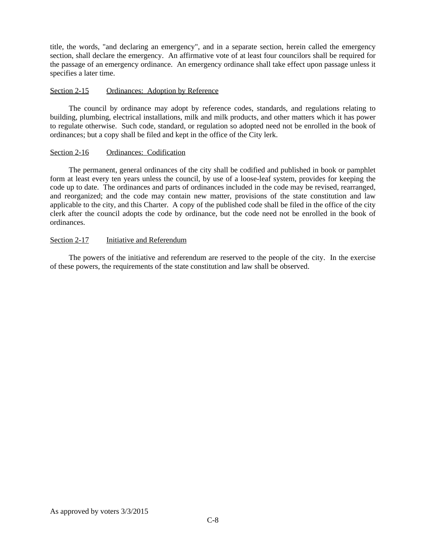title, the words, "and declaring an emergency", and in a separate section, herein called the emergency section, shall declare the emergency. An affirmative vote of at least four councilors shall be required for the passage of an emergency ordinance. An emergency ordinance shall take effect upon passage unless it specifies a later time.

# Section 2-15 Ordinances: Adoption by Reference

The council by ordinance may adopt by reference codes, standards, and regulations relating to building, plumbing, electrical installations, milk and milk products, and other matters which it has power to regulate otherwise. Such code, standard, or regulation so adopted need not be enrolled in the book of ordinances; but a copy shall be filed and kept in the office of the City lerk.

## Section 2-16 Ordinances: Codification

The permanent, general ordinances of the city shall be codified and published in book or pamphlet form at least every ten years unless the council, by use of a loose-leaf system, provides for keeping the code up to date. The ordinances and parts of ordinances included in the code may be revised, rearranged, and reorganized; and the code may contain new matter, provisions of the state constitution and law applicable to the city, and this Charter. A copy of the published code shall be filed in the office of the city clerk after the council adopts the code by ordinance, but the code need not be enrolled in the book of ordinances.

# Section 2-17 Initiative and Referendum

The powers of the initiative and referendum are reserved to the people of the city. In the exercise of these powers, the requirements of the state constitution and law shall be observed.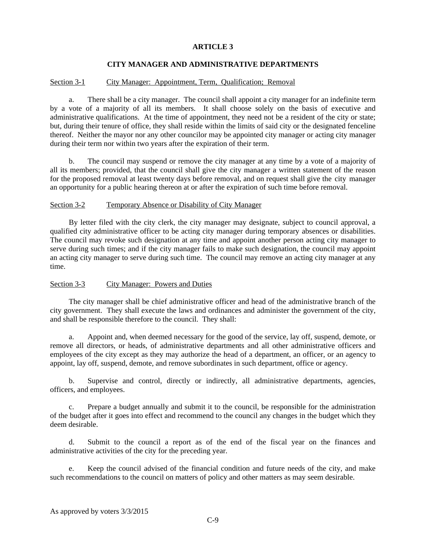# **CITY MANAGER AND ADMINISTRATIVE DEPARTMENTS**

# Section 3-1 City Manager: Appointment, Term, Qualification; Removal

a. There shall be a city manager. The council shall appoint a city manager for an indefinite term by a vote of a majority of all its members. It shall choose solely on the basis of executive and administrative qualifications. At the time of appointment, they need not be a resident of the city or state; but, during their tenure of office, they shall reside within the limits of said city or the designated fenceline thereof. Neither the mayor nor any other councilor may be appointed city manager or acting city manager during their term nor within two years after the expiration of their term.

b. The council may suspend or remove the city manager at any time by a vote of a majority of all its members; provided, that the council shall give the city manager a written statement of the reason for the proposed removal at least twenty days before removal, and on request shall give the city manager an opportunity for a public hearing thereon at or after the expiration of such time before removal.

### Section 3-2 Temporary Absence or Disability of City Manager

By letter filed with the city clerk, the city manager may designate, subject to council approval, a qualified city administrative officer to be acting city manager during temporary absences or disabilities. The council may revoke such designation at any time and appoint another person acting city manager to serve during such times; and if the city manager fails to make such designation, the council may appoint an acting city manager to serve during such time. The council may remove an acting city manager at any time.

# Section 3-3 City Manager: Powers and Duties

The city manager shall be chief administrative officer and head of the administrative branch of the city government. They shall execute the laws and ordinances and administer the government of the city, and shall be responsible therefore to the council. They shall:

a. Appoint and, when deemed necessary for the good of the service, lay off, suspend, demote, or remove all directors, or heads, of administrative departments and all other administrative officers and employees of the city except as they may authorize the head of a department, an officer, or an agency to appoint, lay off, suspend, demote, and remove subordinates in such department, office or agency.

b. Supervise and control, directly or indirectly, all administrative departments, agencies, officers, and employees.

c. Prepare a budget annually and submit it to the council, be responsible for the administration of the budget after it goes into effect and recommend to the council any changes in the budget which they deem desirable.

d. Submit to the council a report as of the end of the fiscal year on the finances and administrative activities of the city for the preceding year.

e. Keep the council advised of the financial condition and future needs of the city, and make such recommendations to the council on matters of policy and other matters as may seem desirable.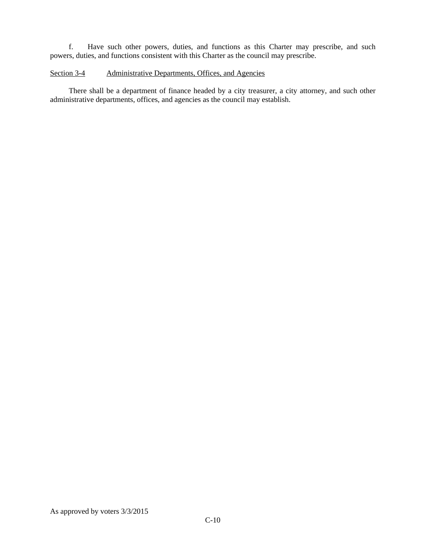f. Have such other powers, duties, and functions as this Charter may prescribe, and such powers, duties, and functions consistent with this Charter as the council may prescribe.

# Section 3-4 Administrative Departments, Offices, and Agencies

There shall be a department of finance headed by a city treasurer, a city attorney, and such other administrative departments, offices, and agencies as the council may establish.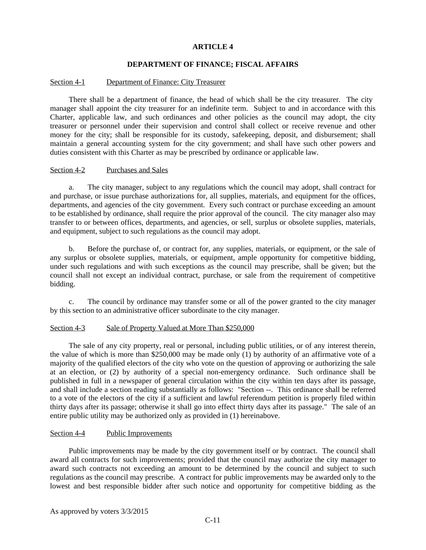# **DEPARTMENT OF FINANCE; FISCAL AFFAIRS**

## Section 4-1 Department of Finance: City Treasurer

There shall be a department of finance, the head of which shall be the city treasurer. The city manager shall appoint the city treasurer for an indefinite term. Subject to and in accordance with this Charter, applicable law, and such ordinances and other policies as the council may adopt, the city treasurer or personnel under their supervision and control shall collect or receive revenue and other money for the city; shall be responsible for its custody, safekeeping, deposit, and disbursement; shall maintain a general accounting system for the city government; and shall have such other powers and duties consistent with this Charter as may be prescribed by ordinance or applicable law.

# Section 4-2 Purchases and Sales

a. The city manager, subject to any regulations which the council may adopt, shall contract for and purchase, or issue purchase authorizations for, all supplies, materials, and equipment for the offices, departments, and agencies of the city government. Every such contract or purchase exceeding an amount to be established by ordinance, shall require the prior approval of the council. The city manager also may transfer to or between offices, departments, and agencies, or sell, surplus or obsolete supplies, materials, and equipment, subject to such regulations as the council may adopt.

b. Before the purchase of, or contract for, any supplies, materials, or equipment, or the sale of any surplus or obsolete supplies, materials, or equipment, ample opportunity for competitive bidding, under such regulations and with such exceptions as the council may prescribe, shall be given; but the council shall not except an individual contract, purchase, or sale from the requirement of competitive bidding.

c. The council by ordinance may transfer some or all of the power granted to the city manager by this section to an administrative officer subordinate to the city manager.

### Section 4-3 Sale of Property Valued at More Than \$250,000

The sale of any city property, real or personal, including public utilities, or of any interest therein, the value of which is more than \$250,000 may be made only (1) by authority of an affirmative vote of a majority of the qualified electors of the city who vote on the question of approving or authorizing the sale at an election, or (2) by authority of a special non-emergency ordinance. Such ordinance shall be published in full in a newspaper of general circulation within the city within ten days after its passage, and shall include a section reading substantially as follows: "Section --. This ordinance shall be referred to a vote of the electors of the city if a sufficient and lawful referendum petition is properly filed within thirty days after its passage; otherwise it shall go into effect thirty days after its passage." The sale of an entire public utility may be authorized only as provided in (1) hereinabove.

# Section 4-4 Public Improvements

Public improvements may be made by the city government itself or by contract. The council shall award all contracts for such improvements; provided that the council may authorize the city manager to award such contracts not exceeding an amount to be determined by the council and subject to such regulations as the council may prescribe. A contract for public improvements may be awarded only to the lowest and best responsible bidder after such notice and opportunity for competitive bidding as the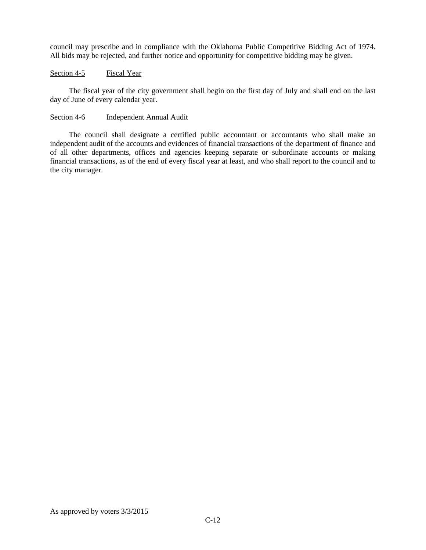council may prescribe and in compliance with the Oklahoma Public Competitive Bidding Act of 1974. All bids may be rejected, and further notice and opportunity for competitive bidding may be given.

### Section 4-5 Fiscal Year

The fiscal year of the city government shall begin on the first day of July and shall end on the last day of June of every calendar year.

### Section 4-6 Independent Annual Audit

The council shall designate a certified public accountant or accountants who shall make an independent audit of the accounts and evidences of financial transactions of the department of finance and of all other departments, offices and agencies keeping separate or subordinate accounts or making financial transactions, as of the end of every fiscal year at least, and who shall report to the council and to the city manager.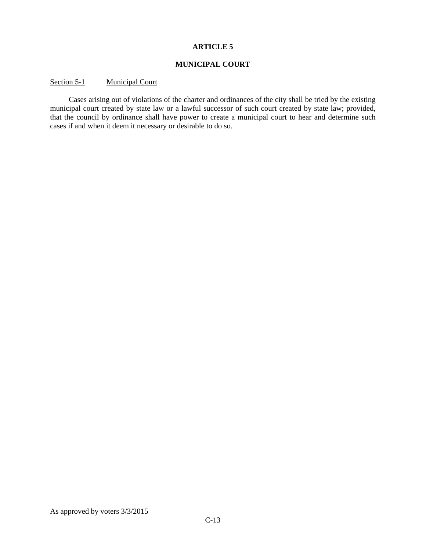# **MUNICIPAL COURT**

# Section 5-1 Municipal Court

Cases arising out of violations of the charter and ordinances of the city shall be tried by the existing municipal court created by state law or a lawful successor of such court created by state law; provided, that the council by ordinance shall have power to create a municipal court to hear and determine such cases if and when it deem it necessary or desirable to do so.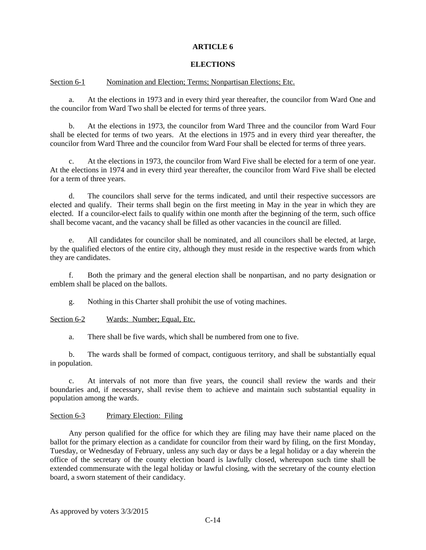# **ELECTIONS**

# Section 6-1 Nomination and Election; Terms; Nonpartisan Elections; Etc.

a. At the elections in 1973 and in every third year thereafter, the councilor from Ward One and the councilor from Ward Two shall be elected for terms of three years.

b. At the elections in 1973, the councilor from Ward Three and the councilor from Ward Four shall be elected for terms of two years. At the elections in 1975 and in every third year thereafter, the councilor from Ward Three and the councilor from Ward Four shall be elected for terms of three years.

c. At the elections in 1973, the councilor from Ward Five shall be elected for a term of one year. At the elections in 1974 and in every third year thereafter, the councilor from Ward Five shall be elected for a term of three years.

d. The councilors shall serve for the terms indicated, and until their respective successors are elected and qualify. Their terms shall begin on the first meeting in May in the year in which they are elected. If a councilor-elect fails to qualify within one month after the beginning of the term, such office shall become vacant, and the vacancy shall be filled as other vacancies in the council are filled.

e. All candidates for councilor shall be nominated, and all councilors shall be elected, at large, by the qualified electors of the entire city, although they must reside in the respective wards from which they are candidates.

f. Both the primary and the general election shall be nonpartisan, and no party designation or emblem shall be placed on the ballots.

g. Nothing in this Charter shall prohibit the use of voting machines.

### Section 6-2 Wards: Number; Equal, Etc.

a. There shall be five wards, which shall be numbered from one to five.

b. The wards shall be formed of compact, contiguous territory, and shall be substantially equal in population.

c. At intervals of not more than five years, the council shall review the wards and their boundaries and, if necessary, shall revise them to achieve and maintain such substantial equality in population among the wards.

### Section 6-3 Primary Election: Filing

Any person qualified for the office for which they are filing may have their name placed on the ballot for the primary election as a candidate for councilor from their ward by filing, on the first Monday, Tuesday, or Wednesday of February, unless any such day or days be a legal holiday or a day wherein the office of the secretary of the county election board is lawfully closed, whereupon such time shall be extended commensurate with the legal holiday or lawful closing, with the secretary of the county election board, a sworn statement of their candidacy.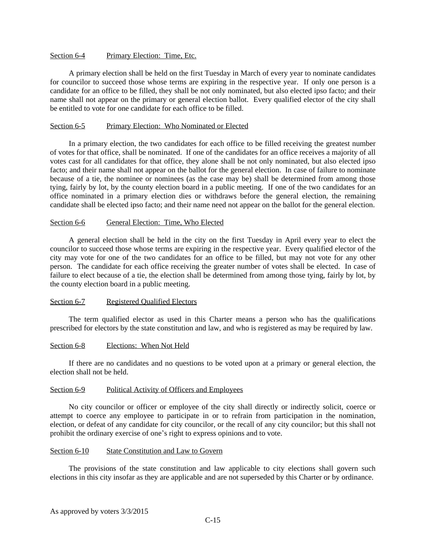## Section 6-4 Primary Election: Time, Etc.

A primary election shall be held on the first Tuesday in March of every year to nominate candidates for councilor to succeed those whose terms are expiring in the respective year. If only one person is a candidate for an office to be filled, they shall be not only nominated, but also elected ipso facto; and their name shall not appear on the primary or general election ballot. Every qualified elector of the city shall be entitled to vote for one candidate for each office to be filled.

## Section 6-5 Primary Election: Who Nominated or Elected

In a primary election, the two candidates for each office to be filled receiving the greatest number of votes for that office, shall be nominated. If one of the candidates for an office receives a majority of all votes cast for all candidates for that office, they alone shall be not only nominated, but also elected ipso facto; and their name shall not appear on the ballot for the general election. In case of failure to nominate because of a tie, the nominee or nominees (as the case may be) shall be determined from among those tying, fairly by lot, by the county election board in a public meeting. If one of the two candidates for an office nominated in a primary election dies or withdraws before the general election, the remaining candidate shall be elected ipso facto; and their name need not appear on the ballot for the general election.

# Section 6-6 General Election: Time, Who Elected

A general election shall be held in the city on the first Tuesday in April every year to elect the councilor to succeed those whose terms are expiring in the respective year. Every qualified elector of the city may vote for one of the two candidates for an office to be filled, but may not vote for any other person. The candidate for each office receiving the greater number of votes shall be elected. In case of failure to elect because of a tie, the election shall be determined from among those tying, fairly by lot, by the county election board in a public meeting.

# Section 6-7 Registered Qualified Electors

The term qualified elector as used in this Charter means a person who has the qualifications prescribed for electors by the state constitution and law, and who is registered as may be required by law.

### Section 6-8 Elections: When Not Held

If there are no candidates and no questions to be voted upon at a primary or general election, the election shall not be held.

## Section 6-9 Political Activity of Officers and Employees

No city councilor or officer or employee of the city shall directly or indirectly solicit, coerce or attempt to coerce any employee to participate in or to refrain from participation in the nomination, election, or defeat of any candidate for city councilor, or the recall of any city councilor; but this shall not prohibit the ordinary exercise of one's right to express opinions and to vote.

## Section 6-10 State Constitution and Law to Govern

The provisions of the state constitution and law applicable to city elections shall govern such elections in this city insofar as they are applicable and are not superseded by this Charter or by ordinance.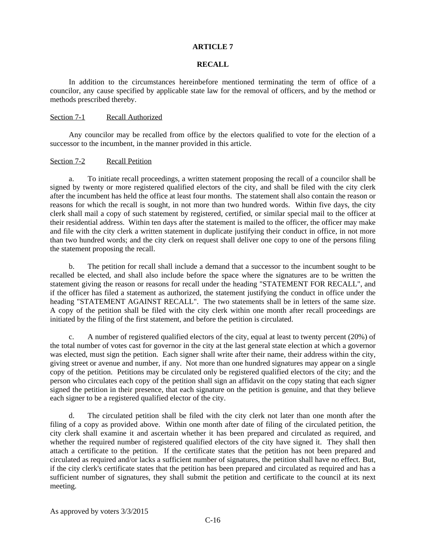# **RECALL**

In addition to the circumstances hereinbefore mentioned terminating the term of office of a councilor, any cause specified by applicable state law for the removal of officers, and by the method or methods prescribed thereby.

### Section 7-1 Recall Authorized

Any councilor may be recalled from office by the electors qualified to vote for the election of a successor to the incumbent, in the manner provided in this article.

## Section 7-2 Recall Petition

a. To initiate recall proceedings, a written statement proposing the recall of a councilor shall be signed by twenty or more registered qualified electors of the city, and shall be filed with the city clerk after the incumbent has held the office at least four months. The statement shall also contain the reason or reasons for which the recall is sought, in not more than two hundred words. Within five days, the city clerk shall mail a copy of such statement by registered, certified, or similar special mail to the officer at their residential address. Within ten days after the statement is mailed to the officer, the officer may make and file with the city clerk a written statement in duplicate justifying their conduct in office, in not more than two hundred words; and the city clerk on request shall deliver one copy to one of the persons filing the statement proposing the recall.

b. The petition for recall shall include a demand that a successor to the incumbent sought to be recalled be elected, and shall also include before the space where the signatures are to be written the statement giving the reason or reasons for recall under the heading "STATEMENT FOR RECALL", and if the officer has filed a statement as authorized, the statement justifying the conduct in office under the heading "STATEMENT AGAINST RECALL". The two statements shall be in letters of the same size. A copy of the petition shall be filed with the city clerk within one month after recall proceedings are initiated by the filing of the first statement, and before the petition is circulated.

c. A number of registered qualified electors of the city, equal at least to twenty percent (20%) of the total number of votes cast for governor in the city at the last general state election at which a governor was elected, must sign the petition. Each signer shall write after their name, their address within the city, giving street or avenue and number, if any. Not more than one hundred signatures may appear on a single copy of the petition. Petitions may be circulated only be registered qualified electors of the city; and the person who circulates each copy of the petition shall sign an affidavit on the copy stating that each signer signed the petition in their presence, that each signature on the petition is genuine, and that they believe each signer to be a registered qualified elector of the city.

d. The circulated petition shall be filed with the city clerk not later than one month after the filing of a copy as provided above. Within one month after date of filing of the circulated petition, the city clerk shall examine it and ascertain whether it has been prepared and circulated as required, and whether the required number of registered qualified electors of the city have signed it. They shall then attach a certificate to the petition. If the certificate states that the petition has not been prepared and circulated as required and/or lacks a sufficient number of signatures, the petition shall have no effect. But, if the city clerk's certificate states that the petition has been prepared and circulated as required and has a sufficient number of signatures, they shall submit the petition and certificate to the council at its next meeting.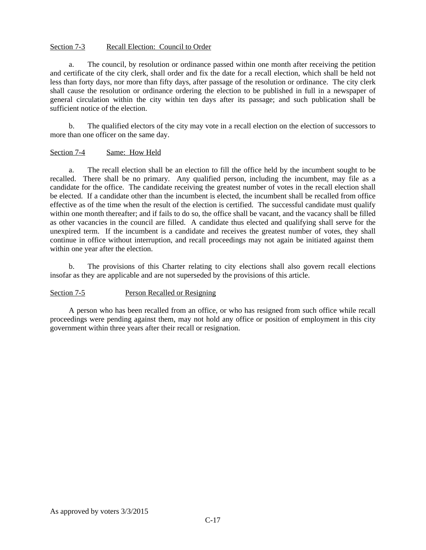# Section 7-3 Recall Election: Council to Order

a. The council, by resolution or ordinance passed within one month after receiving the petition and certificate of the city clerk, shall order and fix the date for a recall election, which shall be held not less than forty days, nor more than fifty days, after passage of the resolution or ordinance. The city clerk shall cause the resolution or ordinance ordering the election to be published in full in a newspaper of general circulation within the city within ten days after its passage; and such publication shall be sufficient notice of the election.

b. The qualified electors of the city may vote in a recall election on the election of successors to more than one officer on the same day.

## Section 7-4 Same: How Held

a. The recall election shall be an election to fill the office held by the incumbent sought to be recalled. There shall be no primary. Any qualified person, including the incumbent, may file as a candidate for the office. The candidate receiving the greatest number of votes in the recall election shall be elected. If a candidate other than the incumbent is elected, the incumbent shall be recalled from office effective as of the time when the result of the election is certified. The successful candidate must qualify within one month thereafter; and if fails to do so, the office shall be vacant, and the vacancy shall be filled as other vacancies in the council are filled. A candidate thus elected and qualifying shall serve for the unexpired term. If the incumbent is a candidate and receives the greatest number of votes, they shall continue in office without interruption, and recall proceedings may not again be initiated against them within one year after the election.

b. The provisions of this Charter relating to city elections shall also govern recall elections insofar as they are applicable and are not superseded by the provisions of this article.

# Section 7-5 Person Recalled or Resigning

A person who has been recalled from an office, or who has resigned from such office while recall proceedings were pending against them, may not hold any office or position of employment in this city government within three years after their recall or resignation.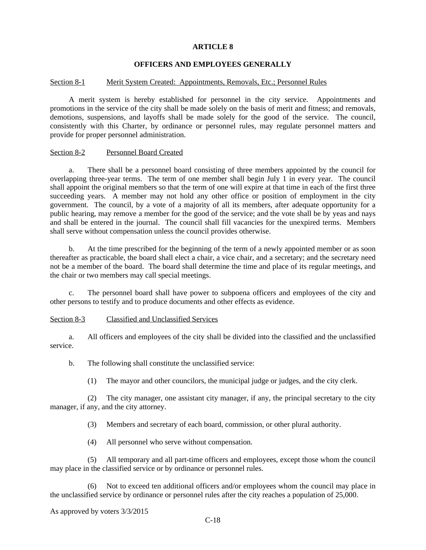# **OFFICERS AND EMPLOYEES GENERALLY**

### Section 8-1 Merit System Created: Appointments, Removals, Etc.; Personnel Rules

A merit system is hereby established for personnel in the city service. Appointments and promotions in the service of the city shall be made solely on the basis of merit and fitness; and removals, demotions, suspensions, and layoffs shall be made solely for the good of the service. The council, consistently with this Charter, by ordinance or personnel rules, may regulate personnel matters and provide for proper personnel administration.

#### Section 8-2 Personnel Board Created

a. There shall be a personnel board consisting of three members appointed by the council for overlapping three-year terms. The term of one member shall begin July 1 in every year. The council shall appoint the original members so that the term of one will expire at that time in each of the first three succeeding years. A member may not hold any other office or position of employment in the city government. The council, by a vote of a majority of all its members, after adequate opportunity for a public hearing, may remove a member for the good of the service; and the vote shall be by yeas and nays and shall be entered in the journal. The council shall fill vacancies for the unexpired terms. Members shall serve without compensation unless the council provides otherwise.

b. At the time prescribed for the beginning of the term of a newly appointed member or as soon thereafter as practicable, the board shall elect a chair, a vice chair, and a secretary; and the secretary need not be a member of the board. The board shall determine the time and place of its regular meetings, and the chair or two members may call special meetings.

c. The personnel board shall have power to subpoena officers and employees of the city and other persons to testify and to produce documents and other effects as evidence.

### Section 8-3 Classified and Unclassified Services

a. All officers and employees of the city shall be divided into the classified and the unclassified service.

b. The following shall constitute the unclassified service:

(1) The mayor and other councilors, the municipal judge or judges, and the city clerk.

(2) The city manager, one assistant city manager, if any, the principal secretary to the city manager, if any, and the city attorney.

(3) Members and secretary of each board, commission, or other plural authority.

(4) All personnel who serve without compensation.

(5) All temporary and all part-time officers and employees, except those whom the council may place in the classified service or by ordinance or personnel rules.

(6) Not to exceed ten additional officers and/or employees whom the council may place in the unclassified service by ordinance or personnel rules after the city reaches a population of 25,000.

As approved by voters 3/3/2015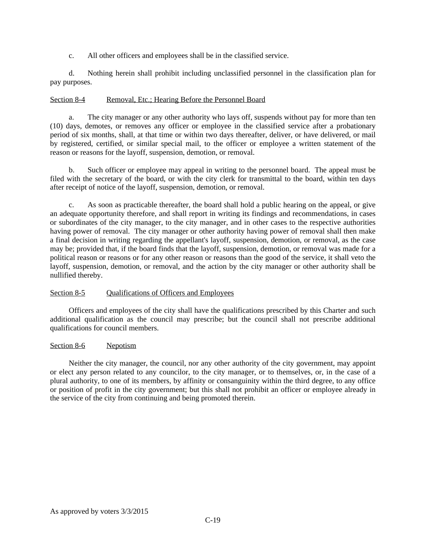c. All other officers and employees shall be in the classified service.

d. Nothing herein shall prohibit including unclassified personnel in the classification plan for pay purposes.

# Section 8-4 Removal, Etc.; Hearing Before the Personnel Board

a. The city manager or any other authority who lays off, suspends without pay for more than ten (10) days, demotes, or removes any officer or employee in the classified service after a probationary period of six months, shall, at that time or within two days thereafter, deliver, or have delivered, or mail by registered, certified, or similar special mail, to the officer or employee a written statement of the reason or reasons for the layoff, suspension, demotion, or removal.

b. Such officer or employee may appeal in writing to the personnel board. The appeal must be filed with the secretary of the board, or with the city clerk for transmittal to the board, within ten days after receipt of notice of the layoff, suspension, demotion, or removal.

c. As soon as practicable thereafter, the board shall hold a public hearing on the appeal, or give an adequate opportunity therefore, and shall report in writing its findings and recommendations, in cases or subordinates of the city manager, to the city manager, and in other cases to the respective authorities having power of removal. The city manager or other authority having power of removal shall then make a final decision in writing regarding the appellant's layoff, suspension, demotion, or removal, as the case may be; provided that, if the board finds that the layoff, suspension, demotion, or removal was made for a political reason or reasons or for any other reason or reasons than the good of the service, it shall veto the layoff, suspension, demotion, or removal, and the action by the city manager or other authority shall be nullified thereby.

# Section 8-5 Qualifications of Officers and Employees

Officers and employees of the city shall have the qualifications prescribed by this Charter and such additional qualification as the council may prescribe; but the council shall not prescribe additional qualifications for council members.

# Section 8-6 Nepotism

Neither the city manager, the council, nor any other authority of the city government, may appoint or elect any person related to any councilor, to the city manager, or to themselves, or, in the case of a plural authority, to one of its members, by affinity or consanguinity within the third degree, to any office or position of profit in the city government; but this shall not prohibit an officer or employee already in the service of the city from continuing and being promoted therein.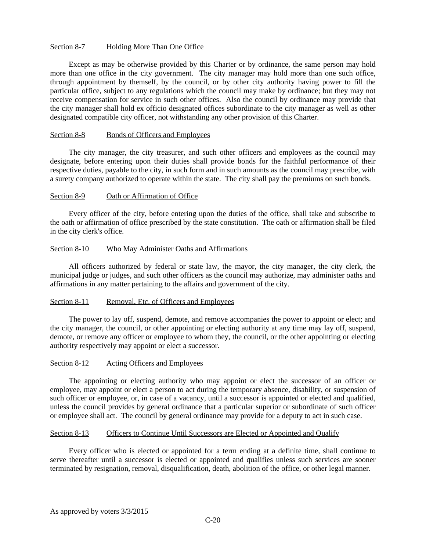# Section 8-7 Holding More Than One Office

Except as may be otherwise provided by this Charter or by ordinance, the same person may hold more than one office in the city government. The city manager may hold more than one such office, through appointment by themself, by the council, or by other city authority having power to fill the particular office, subject to any regulations which the council may make by ordinance; but they may not receive compensation for service in such other offices. Also the council by ordinance may provide that the city manager shall hold ex officio designated offices subordinate to the city manager as well as other designated compatible city officer, not withstanding any other provision of this Charter.

## Section 8-8 Bonds of Officers and Employees

The city manager, the city treasurer, and such other officers and employees as the council may designate, before entering upon their duties shall provide bonds for the faithful performance of their respective duties, payable to the city, in such form and in such amounts as the council may prescribe, with a surety company authorized to operate within the state. The city shall pay the premiums on such bonds.

## Section 8-9 Oath or Affirmation of Office

Every officer of the city, before entering upon the duties of the office, shall take and subscribe to the oath or affirmation of office prescribed by the state constitution. The oath or affirmation shall be filed in the city clerk's office.

## Section 8-10 Who May Administer Oaths and Affirmations

All officers authorized by federal or state law, the mayor, the city manager, the city clerk, the municipal judge or judges, and such other officers as the council may authorize, may administer oaths and affirmations in any matter pertaining to the affairs and government of the city.

### Section 8-11 Removal, Etc. of Officers and Employees

The power to lay off, suspend, demote, and remove accompanies the power to appoint or elect; and the city manager, the council, or other appointing or electing authority at any time may lay off, suspend, demote, or remove any officer or employee to whom they, the council, or the other appointing or electing authority respectively may appoint or elect a successor.

# Section 8-12 Acting Officers and Employees

The appointing or electing authority who may appoint or elect the successor of an officer or employee, may appoint or elect a person to act during the temporary absence, disability, or suspension of such officer or employee, or, in case of a vacancy, until a successor is appointed or elected and qualified, unless the council provides by general ordinance that a particular superior or subordinate of such officer or employee shall act. The council by general ordinance may provide for a deputy to act in such case.

# Section 8-13 Officers to Continue Until Successors are Elected or Appointed and Qualify

Every officer who is elected or appointed for a term ending at a definite time, shall continue to serve thereafter until a successor is elected or appointed and qualifies unless such services are sooner terminated by resignation, removal, disqualification, death, abolition of the office, or other legal manner.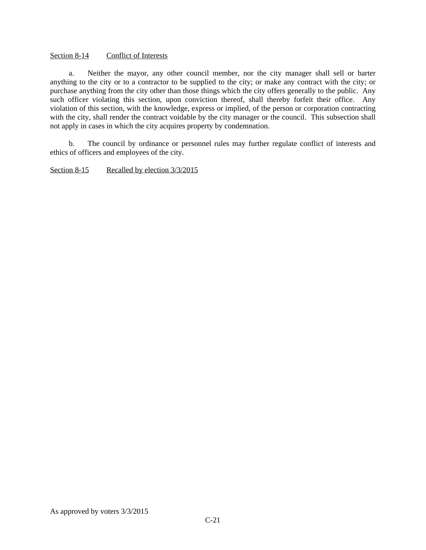# Section 8-14 Conflict of Interests

a. Neither the mayor, any other council member, nor the city manager shall sell or barter anything to the city or to a contractor to be supplied to the city; or make any contract with the city; or purchase anything from the city other than those things which the city offers generally to the public. Any such officer violating this section, upon conviction thereof, shall thereby forfeit their office. Any violation of this section, with the knowledge, express or implied, of the person or corporation contracting with the city, shall render the contract voidable by the city manager or the council. This subsection shall not apply in cases in which the city acquires property by condemnation.

b. The council by ordinance or personnel rules may further regulate conflict of interests and ethics of officers and employees of the city.

Section 8-15 Recalled by election  $3/3/2015$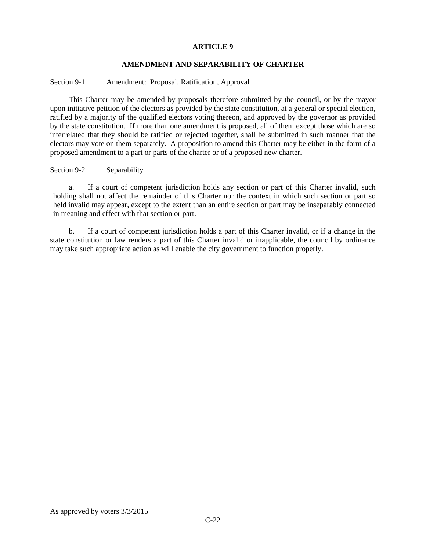# **AMENDMENT AND SEPARABILITY OF CHARTER**

# Section 9-1 Amendment: Proposal, Ratification, Approval

This Charter may be amended by proposals therefore submitted by the council, or by the mayor upon initiative petition of the electors as provided by the state constitution, at a general or special election, ratified by a majority of the qualified electors voting thereon, and approved by the governor as provided by the state constitution. If more than one amendment is proposed, all of them except those which are so interrelated that they should be ratified or rejected together, shall be submitted in such manner that the electors may vote on them separately. A proposition to amend this Charter may be either in the form of a proposed amendment to a part or parts of the charter or of a proposed new charter.

# Section 9-2 Separability

a. If a court of competent jurisdiction holds any section or part of this Charter invalid, such holding shall not affect the remainder of this Charter nor the context in which such section or part so held invalid may appear, except to the extent than an entire section or part may be inseparably connected in meaning and effect with that section or part.

b. If a court of competent jurisdiction holds a part of this Charter invalid, or if a change in the state constitution or law renders a part of this Charter invalid or inapplicable, the council by ordinance may take such appropriate action as will enable the city government to function properly.